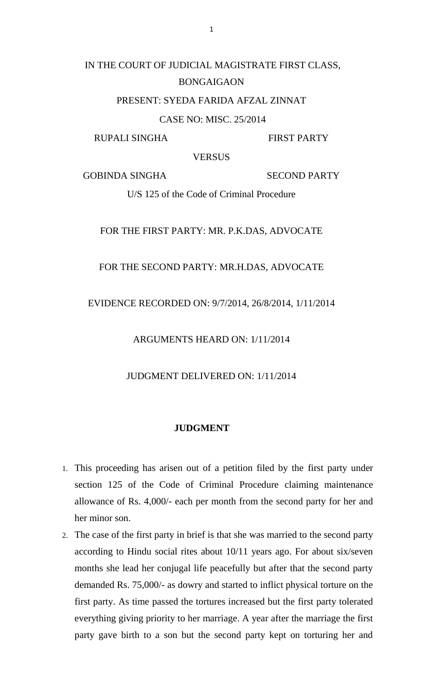# IN THE COURT OF JUDICIAL MAGISTRATE FIRST CLASS, BONGAIGAON

#### PRESENT: SYEDA FARIDA AFZAL ZINNAT

CASE NO: MISC. 25/2014

RUPALI SINGHA FIRST PARTY

**VERSUS** 

GOBINDA SINGHA SECOND PARTY

U/S 125 of the Code of Criminal Procedure

# FOR THE FIRST PARTY: MR. P.K.DAS, ADVOCATE

#### FOR THE SECOND PARTY: MR.H.DAS, ADVOCATE

## EVIDENCE RECORDED ON: 9/7/2014, 26/8/2014, 1/11/2014

ARGUMENTS HEARD ON: 1/11/2014

JUDGMENT DELIVERED ON: 1/11/2014

## **JUDGMENT**

- 1. This proceeding has arisen out of a petition filed by the first party under section 125 of the Code of Criminal Procedure claiming maintenance allowance of Rs. 4,000/- each per month from the second party for her and her minor son.
- 2. The case of the first party in brief is that she was married to the second party according to Hindu social rites about 10/11 years ago. For about six/seven months she lead her conjugal life peacefully but after that the second party demanded Rs. 75,000/- as dowry and started to inflict physical torture on the first party. As time passed the tortures increased but the first party tolerated everything giving priority to her marriage. A year after the marriage the first party gave birth to a son but the second party kept on torturing her and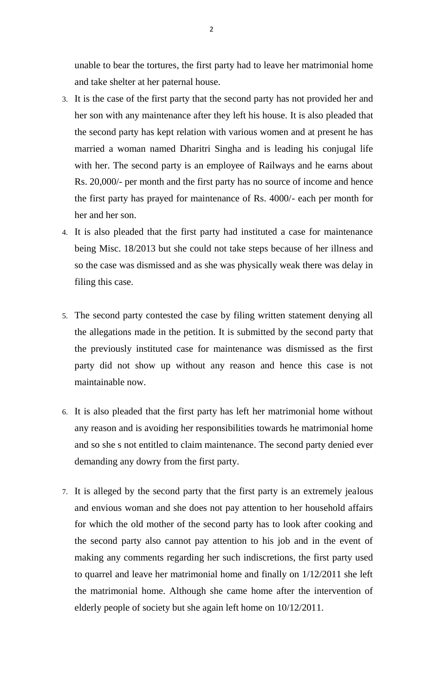unable to bear the tortures, the first party had to leave her matrimonial home and take shelter at her paternal house.

- 3. It is the case of the first party that the second party has not provided her and her son with any maintenance after they left his house. It is also pleaded that the second party has kept relation with various women and at present he has married a woman named Dharitri Singha and is leading his conjugal life with her. The second party is an employee of Railways and he earns about Rs. 20,000/- per month and the first party has no source of income and hence the first party has prayed for maintenance of Rs. 4000/- each per month for her and her son.
- 4. It is also pleaded that the first party had instituted a case for maintenance being Misc. 18/2013 but she could not take steps because of her illness and so the case was dismissed and as she was physically weak there was delay in filing this case.
- 5. The second party contested the case by filing written statement denying all the allegations made in the petition. It is submitted by the second party that the previously instituted case for maintenance was dismissed as the first party did not show up without any reason and hence this case is not maintainable now.
- 6. It is also pleaded that the first party has left her matrimonial home without any reason and is avoiding her responsibilities towards he matrimonial home and so she s not entitled to claim maintenance. The second party denied ever demanding any dowry from the first party.
- 7. It is alleged by the second party that the first party is an extremely jealous and envious woman and she does not pay attention to her household affairs for which the old mother of the second party has to look after cooking and the second party also cannot pay attention to his job and in the event of making any comments regarding her such indiscretions, the first party used to quarrel and leave her matrimonial home and finally on 1/12/2011 she left the matrimonial home. Although she came home after the intervention of elderly people of society but she again left home on 10/12/2011.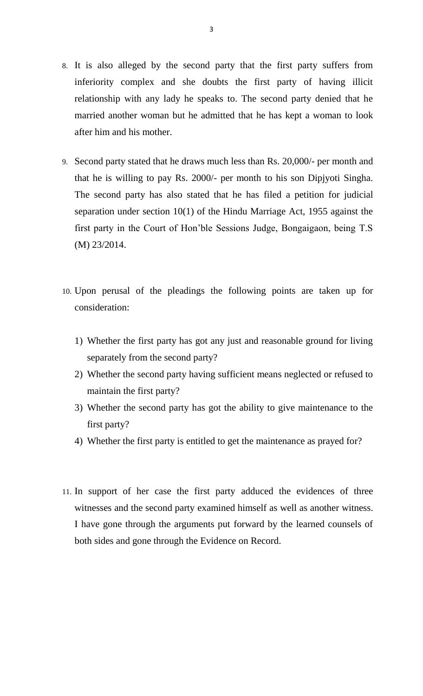- 8. It is also alleged by the second party that the first party suffers from inferiority complex and she doubts the first party of having illicit relationship with any lady he speaks to. The second party denied that he married another woman but he admitted that he has kept a woman to look after him and his mother.
- 9. Second party stated that he draws much less than Rs. 20,000/- per month and that he is willing to pay Rs. 2000/- per month to his son Dipjyoti Singha. The second party has also stated that he has filed a petition for judicial separation under section 10(1) of the Hindu Marriage Act, 1955 against the first party in the Court of Hon'ble Sessions Judge, Bongaigaon, being T.S (M) 23/2014.
- 10. Upon perusal of the pleadings the following points are taken up for consideration:
	- 1) Whether the first party has got any just and reasonable ground for living separately from the second party?
	- 2) Whether the second party having sufficient means neglected or refused to maintain the first party?
	- 3) Whether the second party has got the ability to give maintenance to the first party?
	- 4) Whether the first party is entitled to get the maintenance as prayed for?
- 11. In support of her case the first party adduced the evidences of three witnesses and the second party examined himself as well as another witness. I have gone through the arguments put forward by the learned counsels of both sides and gone through the Evidence on Record.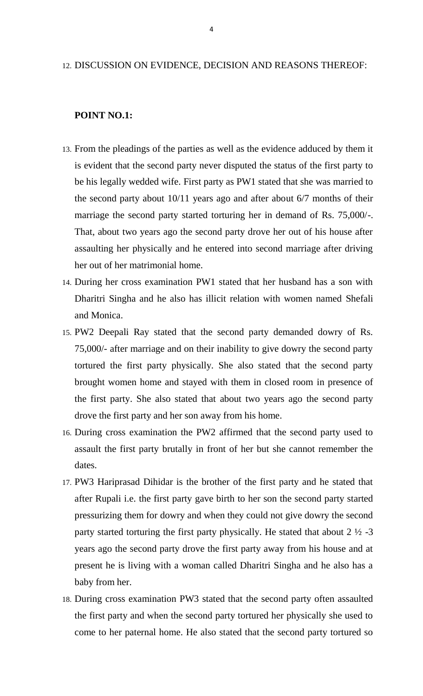#### 12. DISCUSSION ON EVIDENCE, DECISION AND REASONS THEREOF:

# **POINT NO.1:**

- 13. From the pleadings of the parties as well as the evidence adduced by them it is evident that the second party never disputed the status of the first party to be his legally wedded wife. First party as PW1 stated that she was married to the second party about 10/11 years ago and after about 6/7 months of their marriage the second party started torturing her in demand of Rs. 75,000/-. That, about two years ago the second party drove her out of his house after assaulting her physically and he entered into second marriage after driving her out of her matrimonial home.
- 14. During her cross examination PW1 stated that her husband has a son with Dharitri Singha and he also has illicit relation with women named Shefali and Monica.
- 15. PW2 Deepali Ray stated that the second party demanded dowry of Rs. 75,000/- after marriage and on their inability to give dowry the second party tortured the first party physically. She also stated that the second party brought women home and stayed with them in closed room in presence of the first party. She also stated that about two years ago the second party drove the first party and her son away from his home.
- 16. During cross examination the PW2 affirmed that the second party used to assault the first party brutally in front of her but she cannot remember the dates.
- 17. PW3 Hariprasad Dihidar is the brother of the first party and he stated that after Rupali i.e. the first party gave birth to her son the second party started pressurizing them for dowry and when they could not give dowry the second party started torturing the first party physically. He stated that about  $2 \frac{1}{2}$  -3 years ago the second party drove the first party away from his house and at present he is living with a woman called Dharitri Singha and he also has a baby from her.
- 18. During cross examination PW3 stated that the second party often assaulted the first party and when the second party tortured her physically she used to come to her paternal home. He also stated that the second party tortured so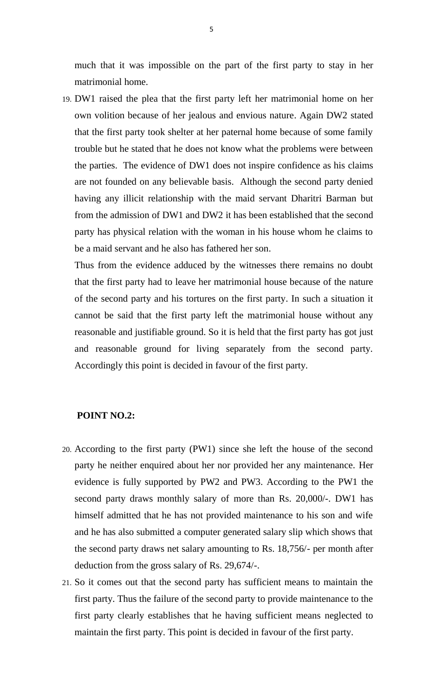much that it was impossible on the part of the first party to stay in her matrimonial home.

19. DW1 raised the plea that the first party left her matrimonial home on her own volition because of her jealous and envious nature. Again DW2 stated that the first party took shelter at her paternal home because of some family trouble but he stated that he does not know what the problems were between the parties. The evidence of DW1 does not inspire confidence as his claims are not founded on any believable basis. Although the second party denied having any illicit relationship with the maid servant Dharitri Barman but from the admission of DW1 and DW2 it has been established that the second party has physical relation with the woman in his house whom he claims to be a maid servant and he also has fathered her son.

Thus from the evidence adduced by the witnesses there remains no doubt that the first party had to leave her matrimonial house because of the nature of the second party and his tortures on the first party. In such a situation it cannot be said that the first party left the matrimonial house without any reasonable and justifiable ground. So it is held that the first party has got just and reasonable ground for living separately from the second party. Accordingly this point is decided in favour of the first party.

#### **POINT NO.2:**

- 20. According to the first party (PW1) since she left the house of the second party he neither enquired about her nor provided her any maintenance. Her evidence is fully supported by PW2 and PW3. According to the PW1 the second party draws monthly salary of more than Rs. 20,000/-. DW1 has himself admitted that he has not provided maintenance to his son and wife and he has also submitted a computer generated salary slip which shows that the second party draws net salary amounting to Rs. 18,756/- per month after deduction from the gross salary of Rs. 29,674/-.
- 21. So it comes out that the second party has sufficient means to maintain the first party. Thus the failure of the second party to provide maintenance to the first party clearly establishes that he having sufficient means neglected to maintain the first party. This point is decided in favour of the first party.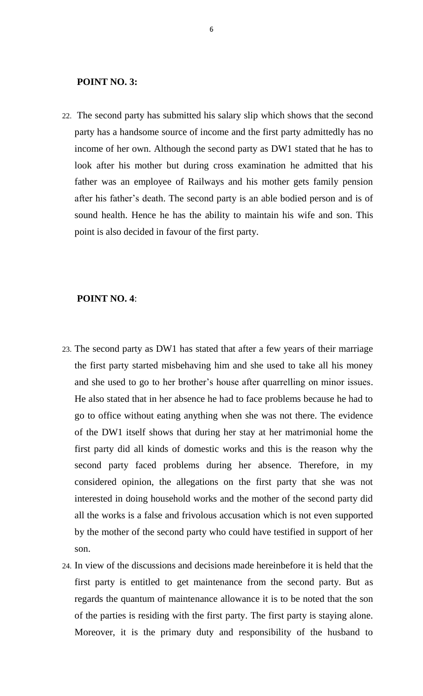#### **POINT NO. 3:**

22. The second party has submitted his salary slip which shows that the second party has a handsome source of income and the first party admittedly has no income of her own. Although the second party as DW1 stated that he has to look after his mother but during cross examination he admitted that his father was an employee of Railways and his mother gets family pension after his father's death. The second party is an able bodied person and is of sound health. Hence he has the ability to maintain his wife and son. This point is also decided in favour of the first party.

## **POINT NO. 4**:

- 23. The second party as DW1 has stated that after a few years of their marriage the first party started misbehaving him and she used to take all his money and she used to go to her brother's house after quarrelling on minor issues. He also stated that in her absence he had to face problems because he had to go to office without eating anything when she was not there. The evidence of the DW1 itself shows that during her stay at her matrimonial home the first party did all kinds of domestic works and this is the reason why the second party faced problems during her absence. Therefore, in my considered opinion, the allegations on the first party that she was not interested in doing household works and the mother of the second party did all the works is a false and frivolous accusation which is not even supported by the mother of the second party who could have testified in support of her son.
- 24. In view of the discussions and decisions made hereinbefore it is held that the first party is entitled to get maintenance from the second party. But as regards the quantum of maintenance allowance it is to be noted that the son of the parties is residing with the first party. The first party is staying alone. Moreover, it is the primary duty and responsibility of the husband to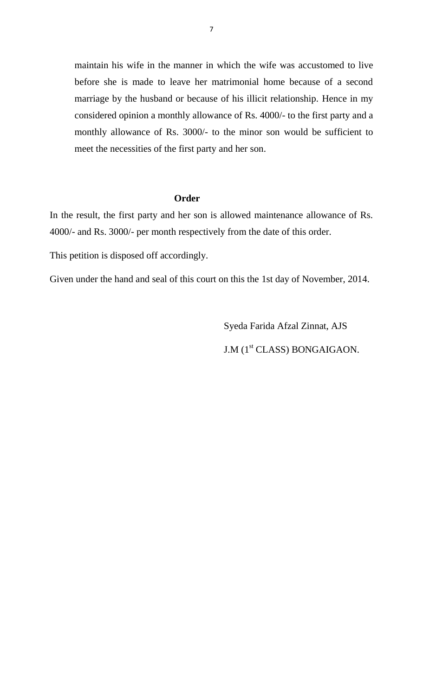maintain his wife in the manner in which the wife was accustomed to live before she is made to leave her matrimonial home because of a second marriage by the husband or because of his illicit relationship. Hence in my considered opinion a monthly allowance of Rs. 4000/- to the first party and a monthly allowance of Rs. 3000/- to the minor son would be sufficient to meet the necessities of the first party and her son.

#### **Order**

In the result, the first party and her son is allowed maintenance allowance of Rs. 4000/- and Rs. 3000/- per month respectively from the date of this order.

This petition is disposed off accordingly.

Given under the hand and seal of this court on this the 1st day of November, 2014.

Syeda Farida Afzal Zinnat, AJS J.M (1<sup>st</sup> CLASS) BONGAIGAON.